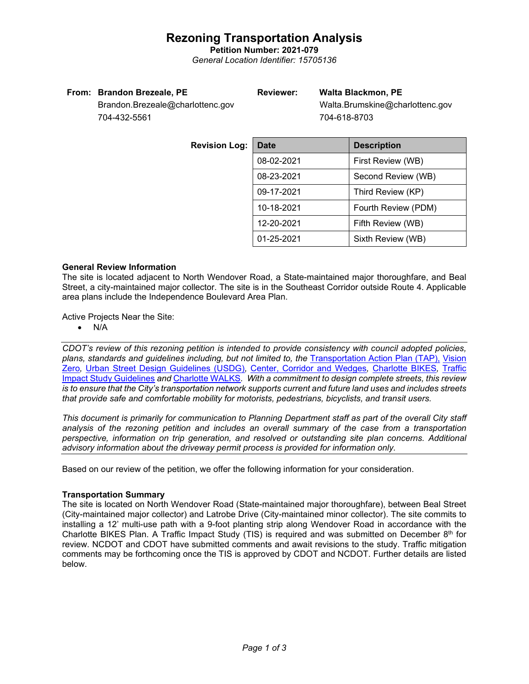### **Rezoning Transportation Analysis**

**Petition Number: 2021-079** *General Location Identifier: 15705136*

#### **From: Brandon Brezeale, PE**

### **Reviewer: Walta Blackmon, PE**

Brandon.Brezeale@charlottenc.gov 704-432-5561

 Walta.Brumskine@charlottenc.gov 704-618-8703

| <b>Revision Log:</b> | <b>Date</b>                       | <b>Description</b> |  |
|----------------------|-----------------------------------|--------------------|--|
|                      | 08-02-2021                        | First Review (WB)  |  |
|                      | 08-23-2021                        | Second Review (WB) |  |
|                      | 09-17-2021                        | Third Review (KP)  |  |
|                      | 10-18-2021<br>Fourth Review (PDM) |                    |  |
|                      | 12-20-2021                        | Fifth Review (WB)  |  |
|                      | 01-25-2021                        | Sixth Review (WB)  |  |

#### **General Review Information**

The site is located adjacent to North Wendover Road, a State-maintained major thoroughfare, and Beal Street, a city-maintained major collector. The site is in the Southeast Corridor outside Route 4. Applicable area plans include the Independence Boulevard Area Plan.

Active Projects Near the Site:

• N/A

*CDOT's review of this rezoning petition is intended to provide consistency with council adopted policies, plans, standards and guidelines including, but not limited to, the* [Transportation Action Plan \(TAP\),](https://charlottenc.gov/Transportation/Programs/Pages/TransportationActionPlan.aspx) [Vision](https://charlottenc.gov/VisionZero/Pages/VisionZero.aspx)  [Zero](https://charlottenc.gov/VisionZero/Pages/VisionZero.aspx)*,* [Urban Street Design Guidelines \(USDG\)](https://charlottenc.gov/Transportation/PlansProjects/Documents/USDG%20Full%20Document.pdf)*,* [Center, Corridor and Wedges](http://ww.charmeck.org/Planning/Land%20Use%20Planning/CentersCorridorsWedges/CentersCorridorsWedges(Adopted).pdf)*,* [Charlotte BIKES](https://charlottenc.gov/Transportation/Programs/Pages/Bicycle.aspx)*,* [Traffic](https://charlottenc.gov/Transportation/Permits/Documents/TISProcessandGuildlines.pdf)  [Impact Study Guidelines](https://charlottenc.gov/Transportation/Permits/Documents/TISProcessandGuildlines.pdf) *and* [Charlotte WALKS](https://charlottenc.gov/Transportation/Programs/Pages/CharlotteWalks.aspx)*. With a commitment to design complete streets, this review is to ensure that the City's transportation network supports current and future land uses and includes streets that provide safe and comfortable mobility for motorists, pedestrians, bicyclists, and transit users.*

*This document is primarily for communication to Planning Department staff as part of the overall City staff analysis of the rezoning petition and includes an overall summary of the case from a transportation perspective, information on trip generation, and resolved or outstanding site plan concerns. Additional advisory information about the driveway permit process is provided for information only.*

Based on our review of the petition, we offer the following information for your consideration.

### **Transportation Summary**

The site is located on North Wendover Road (State-maintained major thoroughfare), between Beal Street (City-maintained major collector) and Latrobe Drive (City-maintained minor collector). The site commits to installing a 12' multi-use path with a 9-foot planting strip along Wendover Road in accordance with the Charlotte BIKES Plan. A Traffic Impact Study (TIS) is required and was submitted on December  $8<sup>th</sup>$  for review. NCDOT and CDOT have submitted comments and await revisions to the study. Traffic mitigation comments may be forthcoming once the TIS is approved by CDOT and NCDOT. Further details are listed below.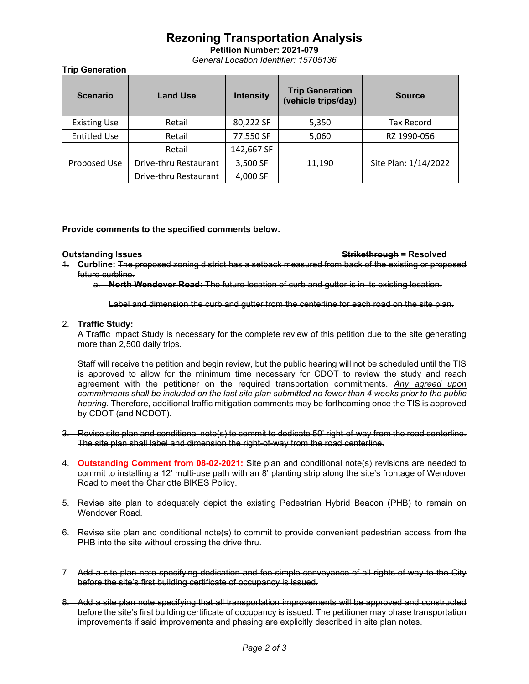# **Rezoning Transportation Analysis**

**Petition Number: 2021-079** *General Location Identifier: 15705136*

**Trip Generation**

| <b>Scenario</b>     | <b>Land Use</b>       | <b>Intensity</b> | <b>Trip Generation</b><br>(vehicle trips/day) | <b>Source</b>        |
|---------------------|-----------------------|------------------|-----------------------------------------------|----------------------|
| <b>Existing Use</b> | Retail                | 80,222 SF        | 5,350                                         | Tax Record           |
| <b>Entitled Use</b> | Retail                | 77,550 SF        | 5,060                                         | RZ 1990-056          |
|                     | Retail                | 142,667 SF       |                                               |                      |
| Proposed Use        | Drive-thru Restaurant | 3,500 SF         | 11,190                                        | Site Plan: 1/14/2022 |
|                     | Drive-thru Restaurant | 4,000 SF         |                                               |                      |

#### **Provide comments to the specified comments below.**

#### **Outstanding Issues Strikethrough = Resolved**

- 1. **Curbline:** The proposed zoning district has a setback measured from back of the existing or proposed future curbline.
	- a. **North Wendover Road:** The future location of curb and gutter is in its existing location.

Label and dimension the curb and gutter from the centerline for each road on the site plan.

#### 2. **Traffic Study:**

A Traffic Impact Study is necessary for the complete review of this petition due to the site generating more than 2,500 daily trips.

Staff will receive the petition and begin review, but the public hearing will not be scheduled until the TIS is approved to allow for the minimum time necessary for CDOT to review the study and reach agreement with the petitioner on the required transportation commitments. *Any agreed upon commitments shall be included on the last site plan submitted no fewer than 4 weeks prior to the public hearing.* Therefore, additional traffic mitigation comments may be forthcoming once the TIS is approved by CDOT (and NCDOT).

- 3. Revise site plan and conditional note(s) to commit to dedicate 50' right-of-way from the road centerline. The site plan shall label and dimension the right-of-way from the road centerline.
- 4. **Outstanding Comment from 08-02-2021:** Site plan and conditional note(s) revisions are needed to commit to installing a 12' multi-use path with an 8' planting strip along the site's frontage of Wendover Road to meet the Charlotte BIKES Policy.
- 5. Revise site plan to adequately depict the existing Pedestrian Hybrid Beacon (PHB) to remain on Wendover Road.
- 6. Revise site plan and conditional note(s) to commit to provide convenient pedestrian access from the PHB into the site without crossing the drive thru.
- 7. Add a site plan note specifying dedication and fee simple conveyance of all rights-of-way to the City before the site's first building certificate of occupancy is issued.
- 8. Add a site plan note specifying that all transportation improvements will be approved and constructed before the site's first building certificate of occupancy is issued. The petitioner may phase transportation improvements if said improvements and phasing are explicitly described in site plan notes.